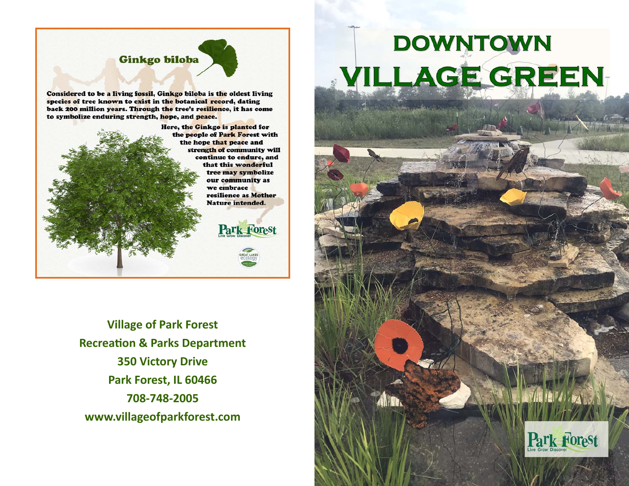## Ginkgo biloba

Considered to be a living fossil, Ginkgo biloba is the oldest living species of tree known to exist in the botanical record, dating back 200 million years. Through the tree's resilience, it has come to symbolize enduring strength, hope, and peace.



**Village of Park Forest Recrea Ɵon & Parks Department 350 Victory Drive Park Forest, IL 60466 708‐748‐2005 www.villageofparkforest.com** 

## **DOWNTOWN VILLAGE GREEN**